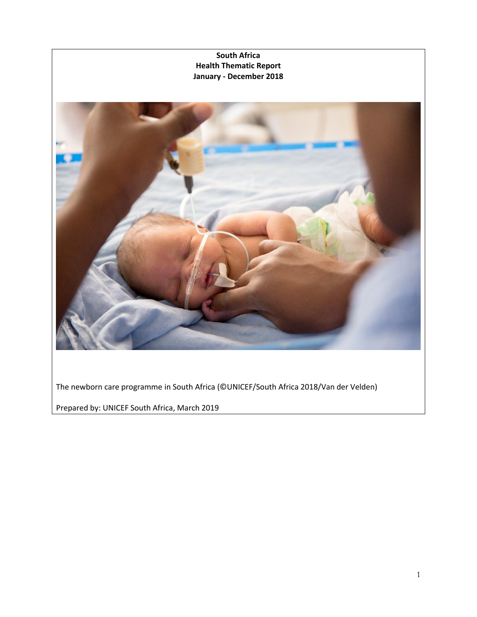

The newborn care programme in South Africa (©UNICEF/South Africa 2018/Van der Velden)

Prepared by: UNICEF South Africa, March 2019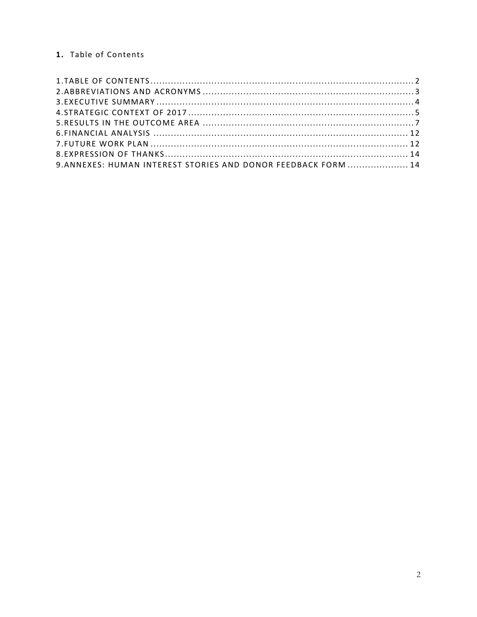# <span id="page-1-0"></span>1. Table of Contents

| 9. ANNEXES: HUMAN INTEREST STORIES AND DONOR FEEDBACK FORM  14 |  |
|----------------------------------------------------------------|--|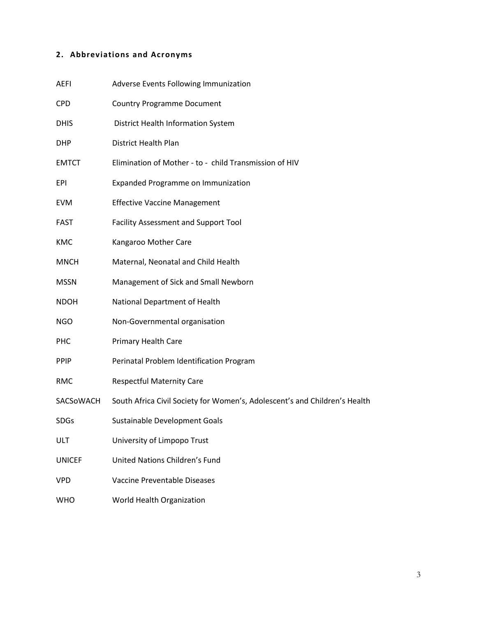# <span id="page-2-0"></span>**2. Abbreviations and Acronyms**

| <b>AEFI</b>   | Adverse Events Following Immunization                                      |
|---------------|----------------------------------------------------------------------------|
| <b>CPD</b>    | <b>Country Programme Document</b>                                          |
| <b>DHIS</b>   | <b>District Health Information System</b>                                  |
| <b>DHP</b>    | District Health Plan                                                       |
| <b>EMTCT</b>  | Elimination of Mother - to - child Transmission of HIV                     |
| EPI           | Expanded Programme on Immunization                                         |
| <b>EVM</b>    | <b>Effective Vaccine Management</b>                                        |
| <b>FAST</b>   | Facility Assessment and Support Tool                                       |
| <b>KMC</b>    | Kangaroo Mother Care                                                       |
| <b>MNCH</b>   | Maternal, Neonatal and Child Health                                        |
| <b>MSSN</b>   | Management of Sick and Small Newborn                                       |
| <b>NDOH</b>   | National Department of Health                                              |
| <b>NGO</b>    | Non-Governmental organisation                                              |
| <b>PHC</b>    | Primary Health Care                                                        |
| <b>PPIP</b>   | Perinatal Problem Identification Program                                   |
| <b>RMC</b>    | <b>Respectful Maternity Care</b>                                           |
| SACSOWACH     | South Africa Civil Society for Women's, Adolescent's and Children's Health |
| <b>SDGs</b>   | Sustainable Development Goals                                              |
| ULT           | University of Limpopo Trust                                                |
| <b>UNICEF</b> | United Nations Children's Fund                                             |
| <b>VPD</b>    | Vaccine Preventable Diseases                                               |
| <b>WHO</b>    | World Health Organization                                                  |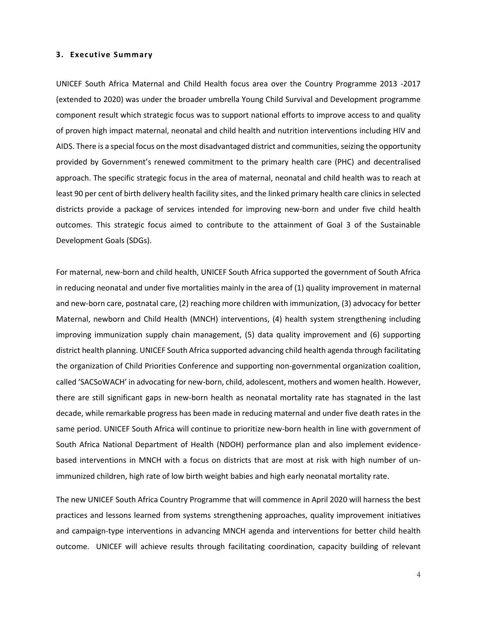#### <span id="page-3-0"></span>**3. Executive Summary**

UNICEF South Africa Maternal and Child Health focus area over the Country Programme 2013 -2017 (extended to 2020) was under the broader umbrella Young Child Survival and Development programme component result which strategic focus was to support national efforts to improve access to and quality of proven high impact maternal, neonatal and child health and nutrition interventions including HIV and AIDS. There is a special focus on the most disadvantaged district and communities, seizing the opportunity provided by Government's renewed commitment to the primary health care (PHC) and decentralised approach. The specific strategic focus in the area of maternal, neonatal and child health was to reach at least 90 per cent of birth delivery health facility sites, and the linked primary health care clinics in selected districts provide a package of services intended for improving new-born and under five child health outcomes. This strategic focus aimed to contribute to the attainment of Goal 3 of the Sustainable Development Goals (SDGs).

For maternal, new-born and child health, UNICEF South Africa supported the government of South Africa in reducing neonatal and under five mortalities mainly in the area of (1) quality improvement in maternal and new-born care, postnatal care, (2) reaching more children with immunization, (3) advocacy for better Maternal, newborn and Child Health (MNCH) interventions, (4) health system strengthening including improving immunization supply chain management, (5) data quality improvement and (6) supporting district health planning. UNICEF South Africa supported advancing child health agenda through facilitating the organization of Child Priorities Conference and supporting non-governmental organization coalition, called 'SACSoWACH' in advocating for new-born, child, adolescent, mothers and women health. However, there are still significant gaps in new-born health as neonatal mortality rate has stagnated in the last decade, while remarkable progress has been made in reducing maternal and under five death rates in the same period. UNICEF South Africa will continue to prioritize new-born health in line with government of South Africa National Department of Health (NDOH) performance plan and also implement evidencebased interventions in MNCH with a focus on districts that are most at risk with high number of unimmunized children, high rate of low birth weight babies and high early neonatal mortality rate.

The new UNICEF South Africa Country Programme that will commence in April 2020 will harness the best practices and lessons learned from systems strengthening approaches, quality improvement initiatives and campaign-type interventions in advancing MNCH agenda and interventions for better child health outcome. UNICEF will achieve results through facilitating coordination, capacity building of relevant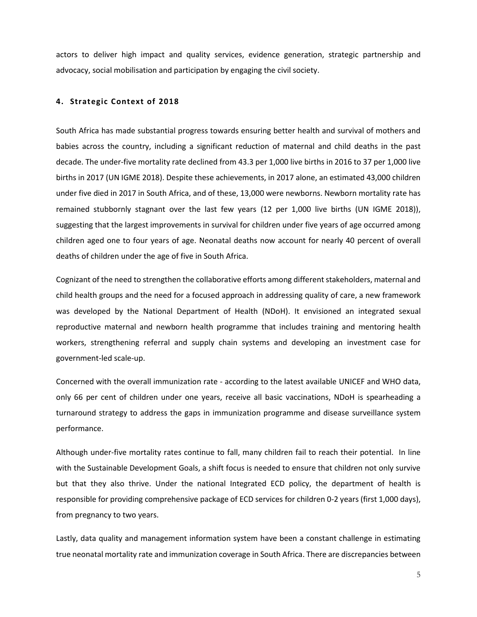actors to deliver high impact and quality services, evidence generation, strategic partnership and advocacy, social mobilisation and participation by engaging the civil society.

#### <span id="page-4-0"></span>**4. Strategic Context of 2018**

South Africa has made substantial progress towards ensuring better health and survival of mothers and babies across the country, including a significant reduction of maternal and child deaths in the past decade. The under-five mortality rate declined from 43.3 per 1,000 live births in 2016 to 37 per 1,000 live births in 2017 (UN IGME 2018). Despite these achievements, in 2017 alone, an estimated 43,000 children under five died in 2017 in South Africa, and of these, 13,000 were newborns. Newborn mortality rate has remained stubbornly stagnant over the last few years (12 per 1,000 live births (UN IGME 2018)), suggesting that the largest improvements in survival for children under five years of age occurred among children aged one to four years of age. Neonatal deaths now account for nearly 40 percent of overall deaths of children under the age of five in South Africa.

Cognizant of the need to strengthen the collaborative efforts among different stakeholders, maternal and child health groups and the need for a focused approach in addressing quality of care, a new framework was developed by the National Department of Health (NDoH). It envisioned an integrated sexual reproductive maternal and newborn health programme that includes training and mentoring health workers, strengthening referral and supply chain systems and developing an investment case for government-led scale-up.

Concerned with the overall immunization rate - according to the latest available UNICEF and WHO data, only 66 per cent of children under one years, receive all basic vaccinations, NDoH is spearheading a turnaround strategy to address the gaps in immunization programme and disease surveillance system performance.

Although under-five mortality rates continue to fall, many children fail to reach their potential. In line with the Sustainable Development Goals, a shift focus is needed to ensure that children not only survive but that they also thrive. Under the national Integrated ECD policy, the department of health is responsible for providing comprehensive package of ECD services for children 0-2 years (first 1,000 days), from pregnancy to two years.

Lastly, data quality and management information system have been a constant challenge in estimating true neonatal mortality rate and immunization coverage in South Africa. There are discrepancies between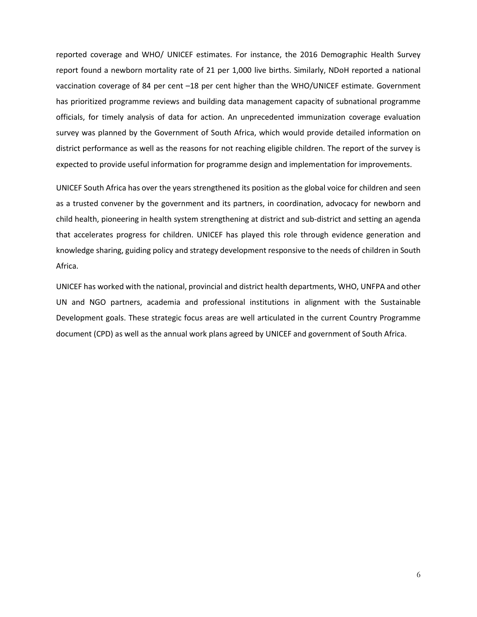reported coverage and WHO/ UNICEF estimates. For instance, the 2016 Demographic Health Survey report found a newborn mortality rate of 21 per 1,000 live births. Similarly, NDoH reported a national vaccination coverage of 84 per cent –18 per cent higher than the WHO/UNICEF estimate. Government has prioritized programme reviews and building data management capacity of subnational programme officials, for timely analysis of data for action. An unprecedented immunization coverage evaluation survey was planned by the Government of South Africa, which would provide detailed information on district performance as well as the reasons for not reaching eligible children. The report of the survey is expected to provide useful information for programme design and implementation for improvements.

UNICEF South Africa has over the years strengthened its position as the global voice for children and seen as a trusted convener by the government and its partners, in coordination, advocacy for newborn and child health, pioneering in health system strengthening at district and sub-district and setting an agenda that accelerates progress for children. UNICEF has played this role through evidence generation and knowledge sharing, guiding policy and strategy development responsive to the needs of children in South Africa.

UNICEF has worked with the national, provincial and district health departments, WHO, UNFPA and other UN and NGO partners, academia and professional institutions in alignment with the Sustainable Development goals. These strategic focus areas are well articulated in the current Country Programme document (CPD) as well as the annual work plans agreed by UNICEF and government of South Africa.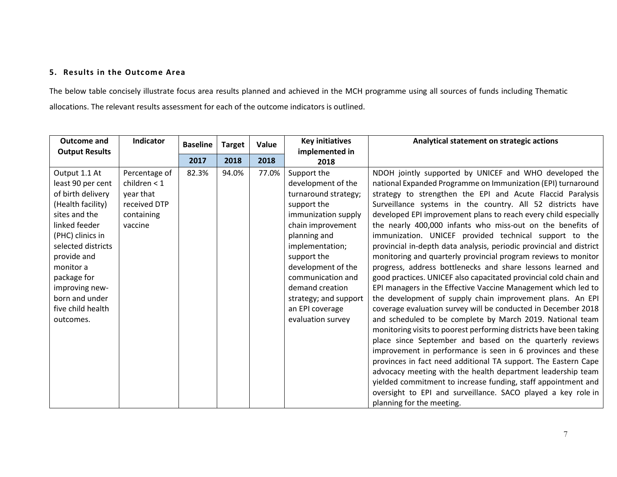# **5. Results in the Outcome Area**

The below table concisely illustrate focus area results planned and achieved in the MCH programme using all sources of funds including Thematic allocations. The relevant results assessment for each of the outcome indicators is outlined.

<span id="page-6-0"></span>

| <b>Outcome and</b>    | <b>Indicator</b> | <b>Baseline</b> | <b>Target</b> | Value | <b>Key initiatives</b> | Analytical statement on strategic actions                           |
|-----------------------|------------------|-----------------|---------------|-------|------------------------|---------------------------------------------------------------------|
| <b>Output Results</b> |                  | 2017            | 2018          | 2018  | implemented in<br>2018 |                                                                     |
| Output 1.1 At         | Percentage of    | 82.3%           | 94.0%         | 77.0% | Support the            | NDOH jointly supported by UNICEF and WHO developed the              |
| least 90 per cent     | children $<$ 1   |                 |               |       | development of the     | national Expanded Programme on Immunization (EPI) turnaround        |
| of birth delivery     | year that        |                 |               |       | turnaround strategy;   | strategy to strengthen the EPI and Acute Flaccid Paralysis          |
| (Health facility)     | received DTP     |                 |               |       | support the            | Surveillance systems in the country. All 52 districts have          |
| sites and the         | containing       |                 |               |       | immunization supply    | developed EPI improvement plans to reach every child especially     |
| linked feeder         | vaccine          |                 |               |       | chain improvement      | the nearly 400,000 infants who miss-out on the benefits of          |
| (PHC) clinics in      |                  |                 |               |       | planning and           | immunization. UNICEF provided technical support to the              |
| selected districts    |                  |                 |               |       | implementation;        | provincial in-depth data analysis, periodic provincial and district |
| provide and           |                  |                 |               |       | support the            | monitoring and quarterly provincial program reviews to monitor      |
| monitor a             |                  |                 |               |       | development of the     | progress, address bottlenecks and share lessons learned and         |
| package for           |                  |                 |               |       | communication and      | good practices. UNICEF also capacitated provincial cold chain and   |
| improving new-        |                  |                 |               |       | demand creation        | EPI managers in the Effective Vaccine Management which led to       |
| born and under        |                  |                 |               |       | strategy; and support  | the development of supply chain improvement plans. An EPI           |
| five child health     |                  |                 |               |       | an EPI coverage        | coverage evaluation survey will be conducted in December 2018       |
| outcomes.             |                  |                 |               |       | evaluation survey      | and scheduled to be complete by March 2019. National team           |
|                       |                  |                 |               |       |                        | monitoring visits to poorest performing districts have been taking  |
|                       |                  |                 |               |       |                        | place since September and based on the quarterly reviews            |
|                       |                  |                 |               |       |                        | improvement in performance is seen in 6 provinces and these         |
|                       |                  |                 |               |       |                        | provinces in fact need additional TA support. The Eastern Cape      |
|                       |                  |                 |               |       |                        | advocacy meeting with the health department leadership team         |
|                       |                  |                 |               |       |                        | yielded commitment to increase funding, staff appointment and       |
|                       |                  |                 |               |       |                        | oversight to EPI and surveillance. SACO played a key role in        |
|                       |                  |                 |               |       |                        | planning for the meeting.                                           |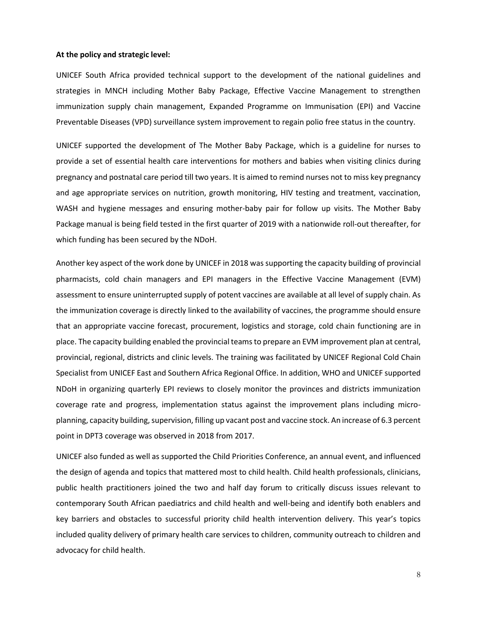#### **At the policy and strategic level:**

UNICEF South Africa provided technical support to the development of the national guidelines and strategies in MNCH including Mother Baby Package, Effective Vaccine Management to strengthen immunization supply chain management, Expanded Programme on Immunisation (EPI) and Vaccine Preventable Diseases (VPD) surveillance system improvement to regain polio free status in the country.

UNICEF supported the development of The Mother Baby Package, which is a guideline for nurses to provide a set of essential health care interventions for mothers and babies when visiting clinics during pregnancy and postnatal care period till two years. It is aimed to remind nurses not to miss key pregnancy and age appropriate services on nutrition, growth monitoring, HIV testing and treatment, vaccination, WASH and hygiene messages and ensuring mother-baby pair for follow up visits. The Mother Baby Package manual is being field tested in the first quarter of 2019 with a nationwide roll-out thereafter, for which funding has been secured by the NDoH.

Another key aspect of the work done by UNICEF in 2018 was supporting the capacity building of provincial pharmacists, cold chain managers and EPI managers in the Effective Vaccine Management (EVM) assessment to ensure uninterrupted supply of potent vaccines are available at all level of supply chain. As the immunization coverage is directly linked to the availability of vaccines, the programme should ensure that an appropriate vaccine forecast, procurement, logistics and storage, cold chain functioning are in place. The capacity building enabled the provincial teams to prepare an EVM improvement plan at central, provincial, regional, districts and clinic levels. The training was facilitated by UNICEF Regional Cold Chain Specialist from UNICEF East and Southern Africa Regional Office. In addition, WHO and UNICEF supported NDoH in organizing quarterly EPI reviews to closely monitor the provinces and districts immunization coverage rate and progress, implementation status against the improvement plans including microplanning, capacity building, supervision, filling up vacant post and vaccine stock. An increase of 6.3 percent point in DPT3 coverage was observed in 2018 from 2017.

UNICEF also funded as well as supported the Child Priorities Conference, an annual event, and influenced the design of agenda and topics that mattered most to child health. Child health professionals, clinicians, public health practitioners joined the two and half day forum to critically discuss issues relevant to contemporary South African paediatrics and child health and well-being and identify both enablers and key barriers and obstacles to successful priority child health intervention delivery. This year's topics included quality delivery of primary health care services to children, community outreach to children and advocacy for child health.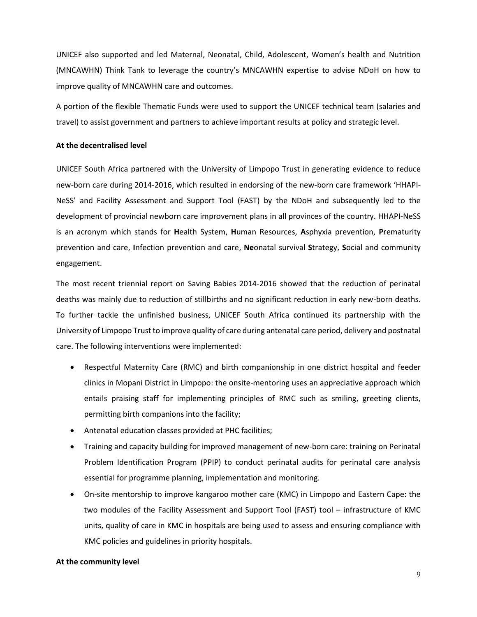UNICEF also supported and led Maternal, Neonatal, Child, Adolescent, Women's health and Nutrition (MNCAWHN) Think Tank to leverage the country's MNCAWHN expertise to advise NDoH on how to improve quality of MNCAWHN care and outcomes.

A portion of the flexible Thematic Funds were used to support the UNICEF technical team (salaries and travel) to assist government and partners to achieve important results at policy and strategic level.

#### **At the decentralised level**

UNICEF South Africa partnered with the University of Limpopo Trust in generating evidence to reduce new-born care during 2014-2016, which resulted in endorsing of the new-born care framework 'HHAPI-NeSS' and Facility Assessment and Support Tool (FAST) by the NDoH and subsequently led to the development of provincial newborn care improvement plans in all provinces of the country. HHAPI-NeSS is an acronym which stands for **H**ealth System, **H**uman Resources, **A**sphyxia prevention, **P**rematurity prevention and care, **I**nfection prevention and care, **Ne**onatal survival **S**trategy, **S**ocial and community engagement.

The most recent triennial report on Saving Babies 2014-2016 showed that the reduction of perinatal deaths was mainly due to reduction of stillbirths and no significant reduction in early new-born deaths. To further tackle the unfinished business, UNICEF South Africa continued its partnership with the University of Limpopo Trust to improve quality of care during antenatal care period, delivery and postnatal care. The following interventions were implemented:

- Respectful Maternity Care (RMC) and birth companionship in one district hospital and feeder clinics in Mopani District in Limpopo: the onsite-mentoring uses an appreciative approach which entails praising staff for implementing principles of RMC such as smiling, greeting clients, permitting birth companions into the facility;
- Antenatal education classes provided at PHC facilities;
- Training and capacity building for improved management of new-born care: training on Perinatal Problem Identification Program (PPIP) to conduct perinatal audits for perinatal care analysis essential for programme planning, implementation and monitoring.
- On-site mentorship to improve kangaroo mother care (KMC) in Limpopo and Eastern Cape: the two modules of the Facility Assessment and Support Tool (FAST) tool – infrastructure of KMC units, quality of care in KMC in hospitals are being used to assess and ensuring compliance with KMC policies and guidelines in priority hospitals.

#### **At the community level**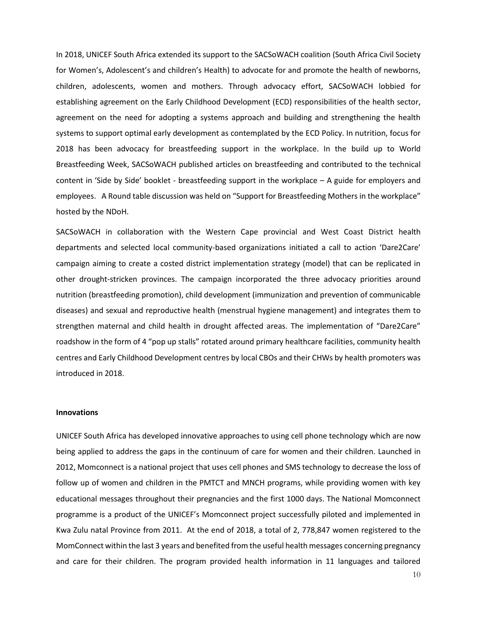In 2018, UNICEF South Africa extended its support to the SACSoWACH coalition (South Africa Civil Society for Women's, Adolescent's and children's Health) to advocate for and promote the health of newborns, children, adolescents, women and mothers. Through advocacy effort, SACSoWACH lobbied for establishing agreement on the Early Childhood Development (ECD) responsibilities of the health sector, agreement on the need for adopting a systems approach and building and strengthening the health systems to support optimal early development as contemplated by the ECD Policy. In nutrition, focus for 2018 has been advocacy for breastfeeding support in the workplace. In the build up to World Breastfeeding Week, SACSoWACH published articles on breastfeeding and contributed to the technical content in 'Side by Side' booklet - breastfeeding support in the workplace – A guide for employers and employees. A Round table discussion was held on "Support for Breastfeeding Mothers in the workplace" hosted by the NDoH.

SACSoWACH in collaboration with the Western Cape provincial and West Coast District health departments and selected local community-based organizations initiated a call to action 'Dare2Care' campaign aiming to create a costed district implementation strategy (model) that can be replicated in other drought-stricken provinces. The campaign incorporated the three advocacy priorities around nutrition (breastfeeding promotion), child development (immunization and prevention of communicable diseases) and sexual and reproductive health (menstrual hygiene management) and integrates them to strengthen maternal and child health in drought affected areas. The implementation of "Dare2Care" roadshow in the form of 4 "pop up stalls" rotated around primary healthcare facilities, community health centres and Early Childhood Development centres by local CBOs and their CHWs by health promoters was introduced in 2018.

#### **Innovations**

UNICEF South Africa has developed innovative approaches to using cell phone technology which are now being applied to address the gaps in the continuum of care for women and their children. Launched in 2012, Momconnect is a national project that uses cell phones and SMS technology to decrease the loss of follow up of women and children in the PMTCT and MNCH programs, while providing women with key educational messages throughout their pregnancies and the first 1000 days. The National Momconnect programme is a product of the UNICEF's Momconnect project successfully piloted and implemented in Kwa Zulu natal Province from 2011. At the end of 2018, a total of 2, 778,847 women registered to the MomConnect within the last 3 years and benefited from the useful health messages concerning pregnancy and care for their children. The program provided health information in 11 languages and tailored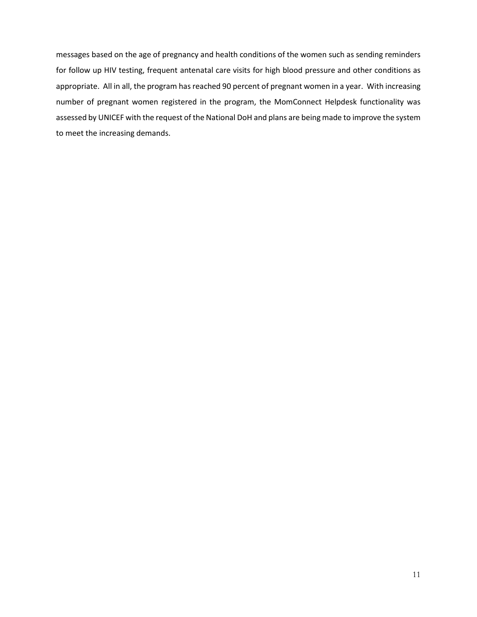messages based on the age of pregnancy and health conditions of the women such as sending reminders for follow up HIV testing, frequent antenatal care visits for high blood pressure and other conditions as appropriate. All in all, the program has reached 90 percent of pregnant women in a year. With increasing number of pregnant women registered in the program, the MomConnect Helpdesk functionality was assessed by UNICEF with the request of the National DoH and plans are being made to improve the system to meet the increasing demands.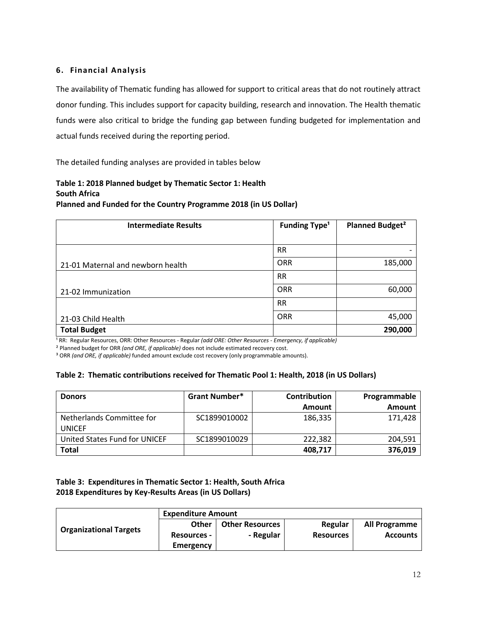## <span id="page-11-0"></span>**6. Financial Analysis**

<span id="page-11-1"></span>The availability of Thematic funding has allowed for support to critical areas that do not routinely attract donor funding. This includes support for capacity building, research and innovation. The Health thematic funds were also critical to bridge the funding gap between funding budgeted for implementation and actual funds received during the reporting period.

The detailed funding analyses are provided in tables below

### **Table 1: 2018 Planned budget by Thematic Sector 1: Health South Africa Planned and Funded for the Country Programme 2018 (in US Dollar)**

| <b>Intermediate Results</b>       | <b>Funding Type<sup>1</sup></b> | Planned Budget <sup>2</sup> |
|-----------------------------------|---------------------------------|-----------------------------|
|                                   |                                 |                             |
|                                   | <b>RR</b>                       | $\overline{\phantom{0}}$    |
| 21-01 Maternal and newborn health | <b>ORR</b>                      | 185,000                     |
|                                   | <b>RR</b>                       |                             |
| 21-02 Immunization                | <b>ORR</b>                      | 60,000                      |
|                                   | <b>RR</b>                       |                             |
| 21-03 Child Health                | <b>ORR</b>                      | 45,000                      |
| <b>Total Budget</b>               |                                 | 290,000                     |

<sup>1</sup> RR: Regular Resources, ORR: Other Resources - Regular *(add ORE: Other Resources - Emergency, if applicable)* 

² Planned budget for ORR *(and ORE, if applicable)* does not include estimated recovery cost.

<sup>3</sup> ORR (and ORE, if applicable) funded amount exclude cost recovery (only programmable amounts).

### **Table 2: Thematic contributions received for Thematic Pool 1: Health, 2018 (in US Dollars)**

| <b>Donors</b>                       | <b>Grant Number*</b> | <b>Contribution</b> | Programmable |
|-------------------------------------|----------------------|---------------------|--------------|
|                                     |                      | <b>Amount</b>       | Amount       |
| Netherlands Committee for<br>UNICEF | SC1899010002         | 186,335             | 171,428      |
| United States Fund for UNICEF       | SC1899010029         | 222.382             | 204.591      |
| Total                               |                      | 408,717             | 376,019      |

# **Table 3: Expenditures in Thematic Sector 1: Health, South Africa 2018 Expenditures by Key-Results Areas (in US Dollars)**

| <b>Organizational Targets</b> | <b>Expenditure Amount</b> |                        |                  |                      |
|-------------------------------|---------------------------|------------------------|------------------|----------------------|
|                               | <b>Other</b>              | <b>Other Resources</b> | Regular          | <b>All Programme</b> |
|                               | <b>Resources -</b>        | - Regular              | <b>Resources</b> | <b>Accounts</b>      |
|                               | Emergency                 |                        |                  |                      |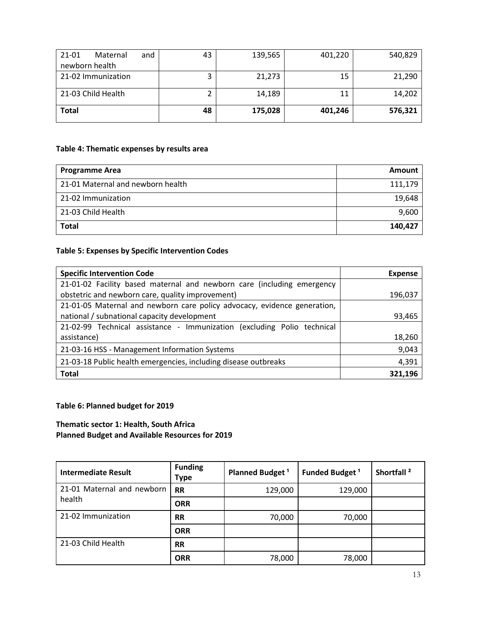| 21-01<br>Maternal<br>and | 43 | 139,565 | 401,220 | 540,829 |
|--------------------------|----|---------|---------|---------|
| newborn health           |    |         |         |         |
| 21-02 Immunization       |    | 21,273  | 15      | 21,290  |
| 21-03 Child Health       |    | 14,189  | 11      | 14,202  |
| <b>Total</b>             | 48 | 175,028 | 401,246 | 576,321 |

# **Table 4: Thematic expenses by results area**

| <b>Programme Area</b>             | Amount  |
|-----------------------------------|---------|
| 21-01 Maternal and newborn health | 111,179 |
| 21-02 Immunization                | 19,648  |
| 21-03 Child Health                | 9,600   |
| <b>Total</b>                      | 140.427 |

# **Table 5: Expenses by Specific Intervention Codes**

| <b>Specific Intervention Code</b>                                        | <b>Expense</b> |
|--------------------------------------------------------------------------|----------------|
| 21-01-02 Facility based maternal and newborn care (including emergency   |                |
| obstetric and newborn care, quality improvement)                         | 196,037        |
| 21-01-05 Maternal and newborn care policy advocacy, evidence generation, |                |
| national / subnational capacity development                              | 93,465         |
| 21-02-99 Technical assistance - Immunization (excluding Polio technical  |                |
| assistance)                                                              | 18,260         |
| 21-03-16 HSS - Management Information Systems                            | 9,043          |
| 21-03-18 Public health emergencies, including disease outbreaks          | 4,391          |
| <b>Total</b>                                                             | 321,196        |

# **Table 6: Planned budget for 2019**

# **Thematic sector 1: Health, South Africa Planned Budget and Available Resources for 2019**

| <b>Intermediate Result</b>           | <b>Funding</b><br>Type | Planned Budget <sup>1</sup> | Funded Budget <sup>1</sup> | Shortfall <sup>2</sup> |
|--------------------------------------|------------------------|-----------------------------|----------------------------|------------------------|
| 21-01 Maternal and newborn<br>health | <b>RR</b>              | 129,000                     | 129,000                    |                        |
|                                      | <b>ORR</b>             |                             |                            |                        |
| 21-02 Immunization                   | <b>RR</b>              | 70,000                      | 70,000                     |                        |
|                                      | <b>ORR</b>             |                             |                            |                        |
| 21-03 Child Health                   | <b>RR</b>              |                             |                            |                        |
|                                      | <b>ORR</b>             | 78,000                      | 78,000                     |                        |